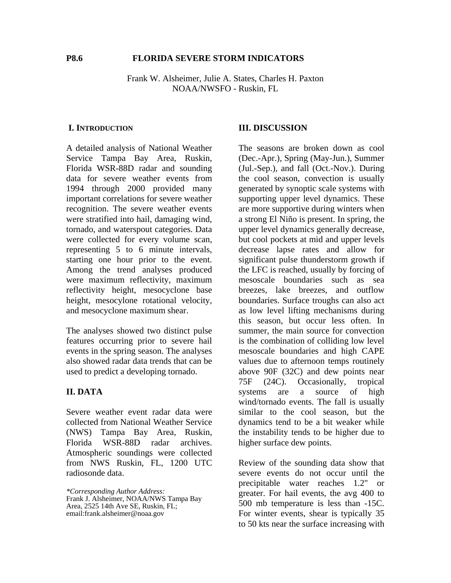### **P8.6 FLORIDA SEVERE STORM INDICATORS**

Frank W. Alsheimer, Julie A. States, Charles H. Paxton NOAA/NWSFO - Ruskin, FL

#### **I. INTRODUCTION**

A detailed analysis of National Weather Service Tampa Bay Area, Ruskin, Florida WSR-88D radar and sounding data for severe weather events from 1994 through 2000 provided many important correlations for severe weather recognition. The severe weather events were stratified into hail, damaging wind, tornado, and waterspout categories. Data were collected for every volume scan, representing 5 to 6 minute intervals, starting one hour prior to the event. Among the trend analyses produced were maximum reflectivity, maximum reflectivity height, mesocyclone base height, mesocylone rotational velocity, and mesocyclone maximum shear.

The analyses showed two distinct pulse features occurring prior to severe hail events in the spring season. The analyses also showed radar data trends that can be used to predict a developing tornado.

# **II. DATA**

Severe weather event radar data were collected from National Weather Service (NWS) Tampa Bay Area, Ruskin, Florida WSR-88D radar archives. Atmospheric soundings were collected from NWS Ruskin, FL, 1200 UTC radiosonde data.

*\*Corresponding Author Address:* Frank J. Alsheimer, NOAA/NWS Tampa Bay Area, 2525 14th Ave SE, Ruskin, FL; email:frank.alsheimer@noaa.gov

## **III. DISCUSSION**

The seasons are broken down as cool (Dec.-Apr.), Spring (May-Jun.), Summer (Jul.-Sep.), and fall (Oct.-Nov.). During the cool season, convection is usually generated by synoptic scale systems with supporting upper level dynamics. These are more supportive during winters when a strong El Niño is present. In spring, the upper level dynamics generally decrease, but cool pockets at mid and upper levels decrease lapse rates and allow for significant pulse thunderstorm growth if the LFC is reached, usually by forcing of mesoscale boundaries such as sea breezes, lake breezes, and outflow boundaries. Surface troughs can also act as low level lifting mechanisms during this season, but occur less often. In summer, the main source for convection is the combination of colliding low level mesoscale boundaries and high CAPE values due to afternoon temps routinely above 90F (32C) and dew points near 75F (24C). Occasionally, tropical systems are a source of high wind/tornado events. The fall is usually similar to the cool season, but the dynamics tend to be a bit weaker while the instability tends to be higher due to higher surface dew points.

Review of the sounding data show that severe events do not occur until the precipitable water reaches 1.2" or greater. For hail events, the avg 400 to 500 mb temperature is less than -15C. For winter events, shear is typically 35 to 50 kts near the surface increasing with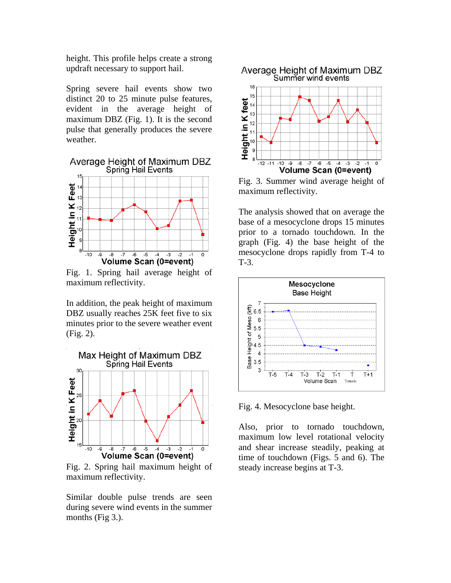height. This profile helps create a strong updraft necessary to support hail.

Spring severe hail events show two distinct 20 to 25 minute pulse features, evident in the average height of maximum DBZ (Fig. 1). It is the second pulse that generally produces the severe weather.

Average Height of Maximum DBZ Spring Hail Events



Fig. 1. Spring hail average height of maximum reflectivity.

In addition, the peak height of maximum DBZ usually reaches 25K feet five to six minutes prior to the severe weather event (Fig. 2).



Fig. 2. Spring hail maximum height of maximum reflectivity.

Similar double pulse trends are seen during severe wind events in the summer months (Fig 3.).



Fig. 3. Summer wind average height of maximum reflectivity.

The analysis showed that on average the base of a mesocyclone drops 15 minutes prior to a tornado touchdown. In the graph (Fig. 4) the base height of the mesocyclone drops rapidly from T-4 to T-3.



Fig. 4. Mesocyclone base height.

Also, prior to tornado touchdown, maximum low level rotational velocity and shear increase steadily, peaking at time of touchdown (Figs. 5 and 6). The steady increase begins at T-3.